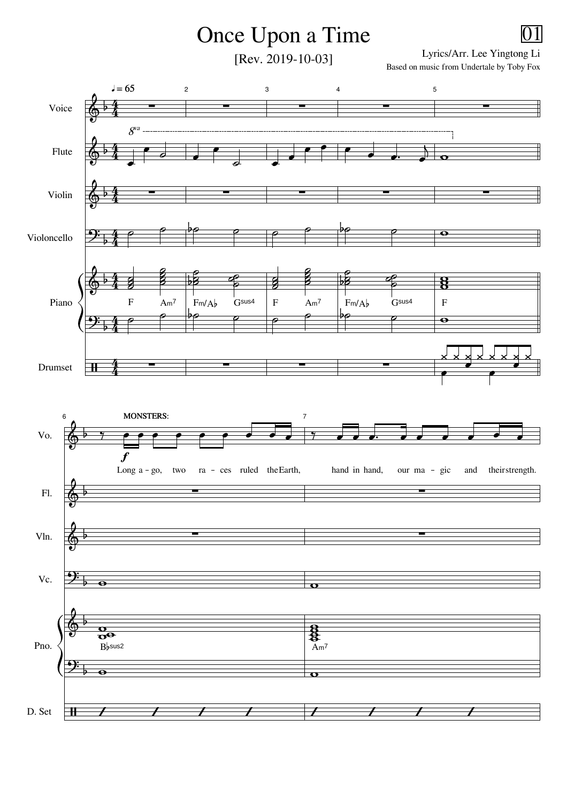## Once Upon a Time

[Rev. 2019-10-03]

Lyrics/Arr. Lee Yingtong Li Based on music from Undertale by Toby Fox

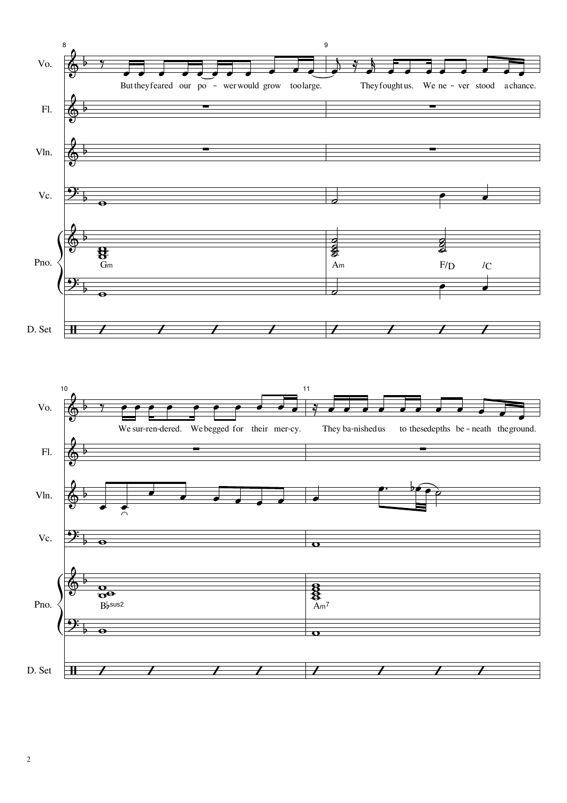

 $\overline{c}$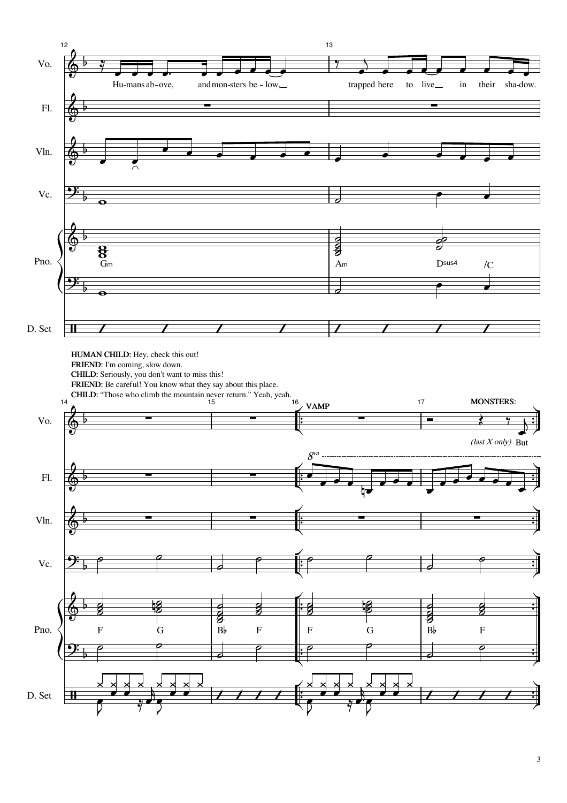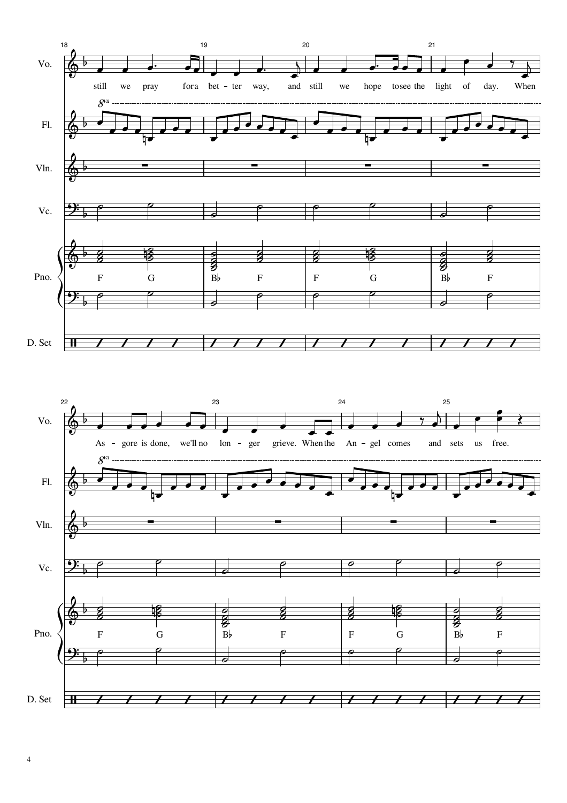